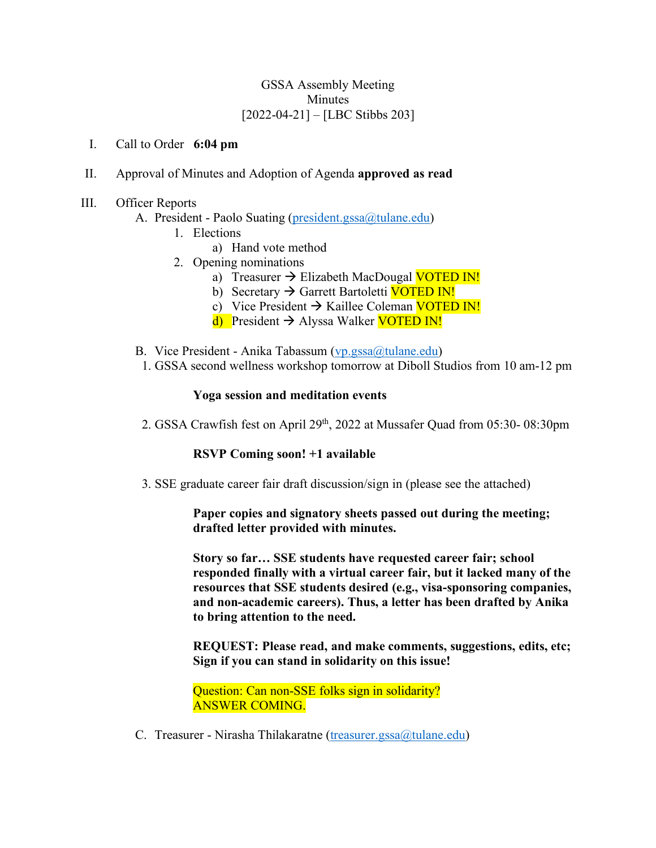## GSSA Assembly Meeting Minutes [2022-04-21] – [LBC Stibbs 203]

I. Call to Order **6:04 pm** 

- II. Approval of Minutes and Adoption of Agenda **approved as read**
- III. Officer Reports
	- A. President Paolo Suating (president.gssa@tulane.edu)
		- 1. Elections
			- a) Hand vote method
		- 2. Opening nominations
			- a) Treasurer  $\rightarrow$  Elizabeth MacDougal VOTED IN!
			- b) Secretary  $\rightarrow$  Garrett Bartoletti **VOTED IN!**
			- c) Vice President  $\rightarrow$  Kaillee Coleman VOTED IN!
			- d) President  $\rightarrow$  Alyssa Walker VOTED IN!
	- B. Vice President Anika Tabassum (vp.gssa@tulane.edu)
	- 1. GSSA second wellness workshop tomorrow at Diboll Studios from 10 am-12 pm

#### **Yoga session and meditation events**

2. GSSA Crawfish fest on April 29<sup>th</sup>, 2022 at Mussafer Quad from 05:30-08:30pm

### **RSVP Coming soon! +1 available**

3. SSE graduate career fair draft discussion/sign in (please see the attached)

### **Paper copies and signatory sheets passed out during the meeting; drafted letter provided with minutes.**

**Story so far… SSE students have requested career fair; school responded finally with a virtual career fair, but it lacked many of the resources that SSE students desired (e.g., visa-sponsoring companies, and non-academic careers). Thus, a letter has been drafted by Anika to bring attention to the need.** 

**REQUEST: Please read, and make comments, suggestions, edits, etc; Sign if you can stand in solidarity on this issue!** 

Question: Can non-SSE folks sign in solidarity? ANSWER COMING.

C. Treasurer - Nirasha Thilakaratne (treasurer.gssa@tulane.edu)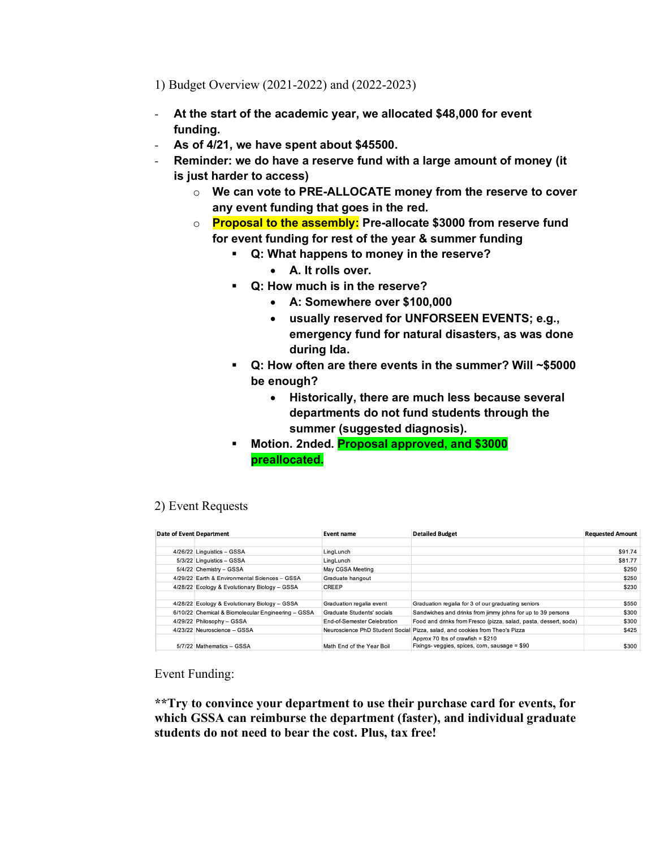1) Budget Overview (2021-2022) and (2022-2023)

- **At the start of the academic year, we allocated \$48,000 for event funding.**
- **As of 4/21, we have spent about \$45500.**
- **Reminder: we do have a reserve fund with a large amount of money (it is just harder to access)**
	- o **We can vote to PRE-ALLOCATE money from the reserve to cover any event funding that goes in the red.**
	- o **Proposal to the assembly: Pre-allocate \$3000 from reserve fund for event funding for rest of the year & summer funding**
		- § **Q: What happens to money in the reserve?** 
			- **A. It rolls over.**
		- § **Q: How much is in the reserve?** 
			- **A: Somewhere over \$100,000**
			- **usually reserved for UNFORSEEN EVENTS; e.g., emergency fund for natural disasters, as was done during Ida.**
		- § **Q: How often are there events in the summer? Will ~\$5000 be enough?** 
			- **Historically, there are much less because several departments do not fund students through the summer (suggested diagnosis).**
		- § **Motion. 2nded. Proposal approved, and \$3000 preallocated.**

# 2) Event Requests

| <b>Date of Event Department</b> |                                                    | Event name                  | <b>Detailed Budget</b>                                                      | <b>Requested Amount</b> |
|---------------------------------|----------------------------------------------------|-----------------------------|-----------------------------------------------------------------------------|-------------------------|
|                                 |                                                    |                             |                                                                             |                         |
|                                 | 4/26/22 Linguistics - GSSA                         | LingLunch                   |                                                                             | \$91.74                 |
|                                 | 5/3/22 Linguistics - GSSA                          | LingLunch                   |                                                                             | \$81.77                 |
|                                 | 5/4/22 Chemistry - GSSA                            | May CGSA Meeting            |                                                                             | \$250                   |
|                                 | 4/29/22 Earth & Environmental Sciences - GSSA      | Graduate hangout            |                                                                             | \$250                   |
|                                 | 4/28/22 Ecology & Evolutionary Biology - GSSA      | <b>CREEP</b>                |                                                                             | \$230                   |
|                                 |                                                    |                             |                                                                             |                         |
|                                 | 4/28/22 Ecology & Evolutionary Biology - GSSA      | Graduation regalia event    | Graduation regalia for 3 of our graduating seniors                          | \$550                   |
|                                 | 6/10/22 Chemical & Biomolecular Engineering - GSSA | Graduate Students' socials  | Sandwiches and drinks from jimmy johns for up to 39 persons                 | \$300                   |
|                                 | 4/29/22 Philosophy - GSSA                          | End-of-Semester Celebration | Food and drinks from Fresco (pizza, salad, pasta, dessert, soda)            | \$300                   |
|                                 | 4/23/22 Neuroscience - GSSA                        |                             | Neuroscience PhD Student Social Pizza, salad, and cookies from Theo's Pizza | \$425                   |
|                                 |                                                    |                             | Approx 70 lbs of crawfish = $$210$                                          |                         |
|                                 | 5/7/22 Mathematics - GSSA                          | Math End of the Year Boil   | Fixings-veggies, spices, corn, sausage = \$90                               | \$300                   |

Event Funding:

**\*\*Try to convince your department to use their purchase card for events, for which GSSA can reimburse the department (faster), and individual graduate students do not need to bear the cost. Plus, tax free!**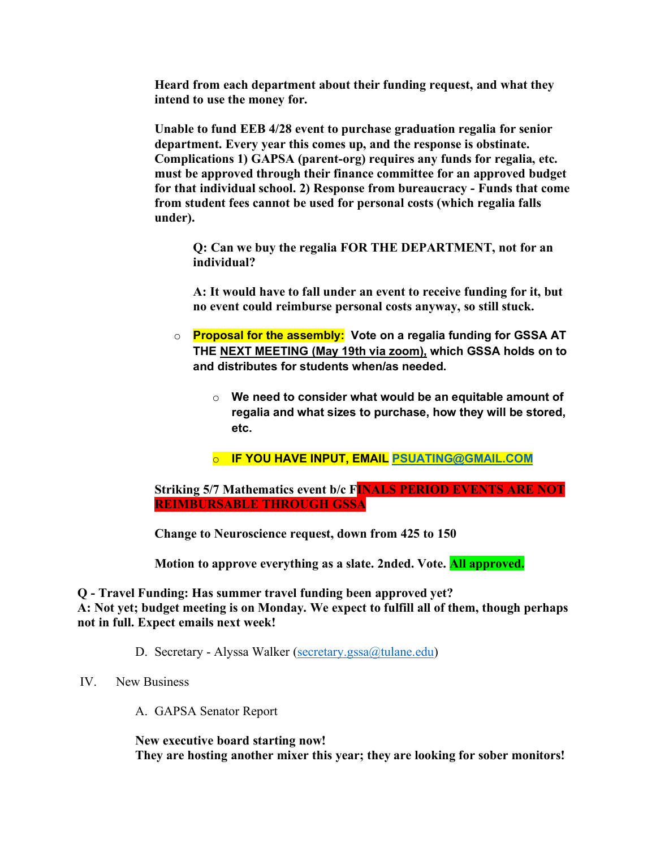**Heard from each department about their funding request, and what they intend to use the money for.** 

**Unable to fund EEB 4/28 event to purchase graduation regalia for senior department. Every year this comes up, and the response is obstinate. Complications 1) GAPSA (parent-org) requires any funds for regalia, etc. must be approved through their finance committee for an approved budget for that individual school. 2) Response from bureaucracy - Funds that come from student fees cannot be used for personal costs (which regalia falls under).** 

**Q: Can we buy the regalia FOR THE DEPARTMENT, not for an individual?**

**A: It would have to fall under an event to receive funding for it, but no event could reimburse personal costs anyway, so still stuck.**

- o **Proposal for the assembly: Vote on a regalia funding for GSSA AT THE NEXT MEETING (May 19th via zoom), which GSSA holds on to and distributes for students when/as needed.** 
	- o **We need to consider what would be an equitable amount of regalia and what sizes to purchase, how they will be stored, etc.**
	- o **IF YOU HAVE INPUT, EMAIL PSUATING@GMAIL.COM**

**Striking 5/7 Mathematics event b/c FINALS PERIOD EVENTS ARE NOT REIMBURSABLE THROUGH GSSA**

**Change to Neuroscience request, down from 425 to 150**

**Motion to approve everything as a slate. 2nded. Vote. All approved.**

**Q - Travel Funding: Has summer travel funding been approved yet? A: Not yet; budget meeting is on Monday. We expect to fulfill all of them, though perhaps not in full. Expect emails next week!** 

D. Secretary - Alyssa Walker (secretary.gssa@tulane.edu)

IV. New Business

A. GAPSA Senator Report

**New executive board starting now! They are hosting another mixer this year; they are looking for sober monitors!**